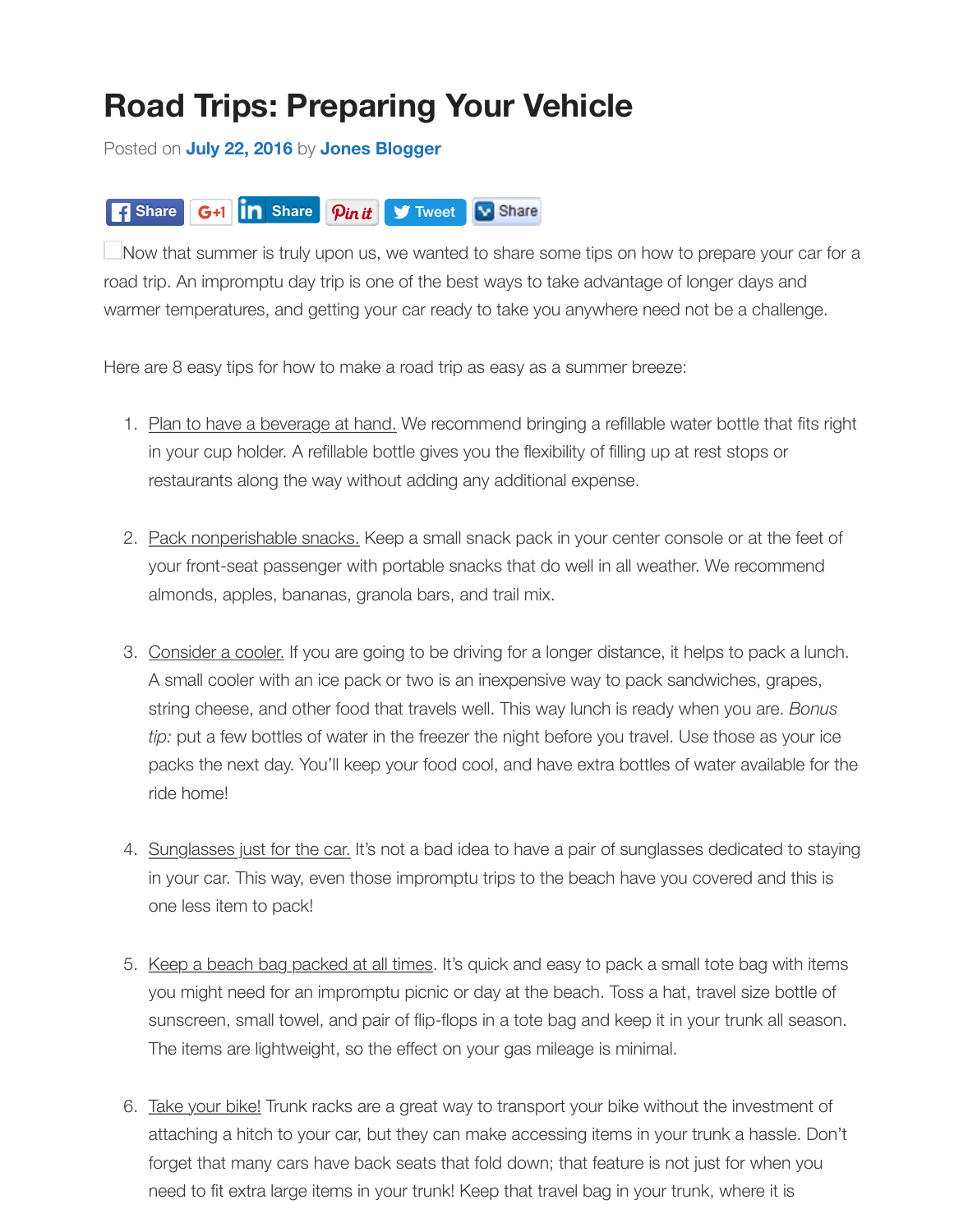## $\left|\mathcal{P}\right|$ **Share G+1 In** Share **S** Tweet **N** Share

 $\Box$ Now that summer is truly upon us, we wanted to share some tips on how to prepare your car road trip. An impromptu day trip is one of the best ways to take advantage of longer days and warmer te[mperatures, an](http://blog.jonesjunction.com/road-trips-preparing-your-vehicle/)d g[etting your car re](http://blog.jonesjunction.com/author/jones-blogger/)ady to take you anywhere need not be a challenge.

[Here are 8](https://www.facebook.com/sharer/sharer.php?app_id=188707654478&sdk=joey&u=http%3A%2F%2Fblog.jonesjunction.com%2Froad-trips-preparing-your-vehicle%2F&display=popup&ref=plugin&src=share_button) easy ti[ps for how t](javascript:void(0);)o make [a road trip](https://twitter.com/intent/tweet?ref_src=twsrc%5Etfw&text=Road%20Trips%3A%20Preparing%20Your%20Vehicle&tw_p=tweetbutton&url=http%3A%2F%2Fblog.jonesjunction.com%2Froad-trips-preparing-your-vehicle%2F&via=%40JonesJunctionBA) [as easy as](http://www.linksalpha.com/social/mobile?link=http%3A%2F%2Fblog.jonesjunction.com%2Froad-trips-preparing-your-vehicle%2F&title=Road%20Trips%3A%20Preparing%20Your%20Vehicle&body=Now%20that%20summer%20is%20truly%20upon%20us%2C%20we%20wanted%20to%20share%20some%20tips%20on%20how%20to%20prepare%20your%20car%20for%20a%20road%20trip.%20An%20impromptu%20day%20trip%20is%20one%20of%20the%20best%20ways%20to%20take%20advantage%20of%20longer%20days%20and%20warmer%20temperatures%2C%20and%20getting%20your%20car%20ready%20to%20take%20you%20anywhere%20need%20not%20be%20a%20challenge.%20Here%20are%208%20easy&image=http%3A%2F%2Fblog.jonesjunction.com%2Fwp-content%2Fuploads%2F2016%2F07%2Fjonesroadtrip.jpg) a summer breeze:

- 1. Plan to have a beverage at hand. We recommend bringing a refillable water bottle that fits in your cup holder. A refillable bottle gives you the flexibility of filling up at rest stops or restaurants along the way without adding any additional expense.
- 2. Pack nonperishable snacks. Keep a small snack pack in your center console or at the feet your front-seat passenger with portable snacks that do well in all weather. We recommend almonds, apples, bananas, granola bars, and trail mix.
- 3. Consider a cooler. If you are going to be driving for a longer distance, it helps to pack a lur A small cooler with an ice pack or two is an inexpensive way to pack sandwiches, grapes, string cheese, and other food that travels well. This way lunch is ready when you are. *Bonus tip:* put a few bottles of water in the freezer the night before you travel. Use those as your i packs the next day. You'll keep your food cool, and have extra bottles of water available for ride home!
- 4. Sunglasses just for the car. It's not a bad idea to have a pair of sunglasses dedicated to st in your car. This way, even those impromptu trips to the beach have you covered and this one less item to pack!
- 5. Keep a beach bag packed at all times. It's quick and easy to pack a small tote bag with ite you might need for an impromptu picnic or day at the beach. Toss a hat, travel size bottle sunscreen, small towel, and pair of flip-flops in a tote bag and keep it in your trunk all seas The items are lightweight, so the effect on your gas mileage is minimal.
- 6. Take your bike! Trunk racks are a great way to transport your bike without the investment of attaching a hitch to your car, but they can make accessing items in your trunk a hassle. Do forget that many cars have back seats that fold down; that feature is not just for when you need to fit extra large items in your trunk! Keep that travel bag in your trunk, where it is